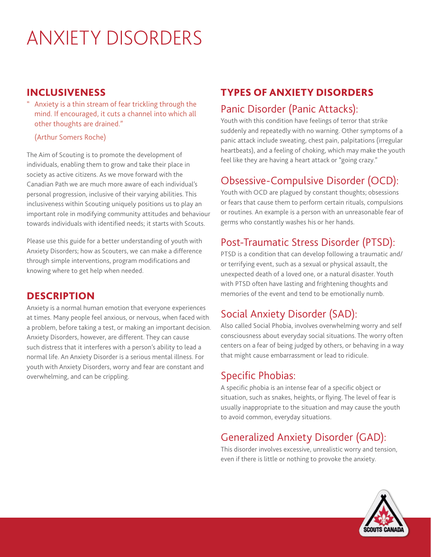# ANXIETY DISORDERS

#### INCLUSIVENESS

Anxiety is a thin stream of fear trickling through the mind. If encouraged, it cuts a channel into which all other thoughts are drained."

(Arthur Somers Roche)

The Aim of Scouting is to promote the development of individuals, enabling them to grow and take their place in society as active citizens. As we move forward with the Canadian Path we are much more aware of each individual's personal progression, inclusive of their varying abilities. This inclusiveness within Scouting uniquely positions us to play an important role in modifying community attitudes and behaviour towards individuals with identified needs; it starts with Scouts.

Please use this guide for a better understanding of youth with Anxiety Disorders; how as Scouters, we can make a difference through simple interventions, program modifications and knowing where to get help when needed.

#### **DESCRIPTION**

Anxiety is a normal human emotion that everyone experiences at times. Many people feel anxious, or nervous, when faced with a problem, before taking a test, or making an important decision. Anxiety Disorders, however, are different. They can cause such distress that it interferes with a person's ability to lead a normal life. An Anxiety Disorder is a serious mental illness. For youth with Anxiety Disorders, worry and fear are constant and overwhelming, and can be crippling.

# TYPES OF ANXIETY DISORDERS

#### Panic Disorder (Panic Attacks):

Youth with this condition have feelings of terror that strike suddenly and repeatedly with no warning. Other symptoms of a panic attack include sweating, chest pain, palpitations (irregular heartbeats), and a feeling of choking, which may make the youth feel like they are having a heart attack or "going crazy."

## Obsessive-Compulsive Disorder (OCD):

Youth with OCD are plagued by constant thoughts; obsessions or fears that cause them to perform certain rituals, compulsions or routines. An example is a person with an unreasonable fear of germs who constantly washes his or her hands.

## Post-Traumatic Stress Disorder (PTSD):

PTSD is a condition that can develop following a traumatic and/ or terrifying event, such as a sexual or physical assault, the unexpected death of a loved one, or a natural disaster. Youth with PTSD often have lasting and frightening thoughts and memories of the event and tend to be emotionally numb.

# Social Anxiety Disorder (SAD):

Also called Social Phobia, involves overwhelming worry and self consciousness about everyday social situations. The worry often centers on a fear of being judged by others, or behaving in a way that might cause embarrassment or lead to ridicule.

## Specific Phobias:

A specific phobia is an intense fear of a specific object or situation, such as snakes, heights, or flying. The level of fear is usually inappropriate to the situation and may cause the youth to avoid common, everyday situations.

# Generalized Anxiety Disorder (GAD):

This disorder involves excessive, unrealistic worry and tension, even if there is little or nothing to provoke the anxiety.